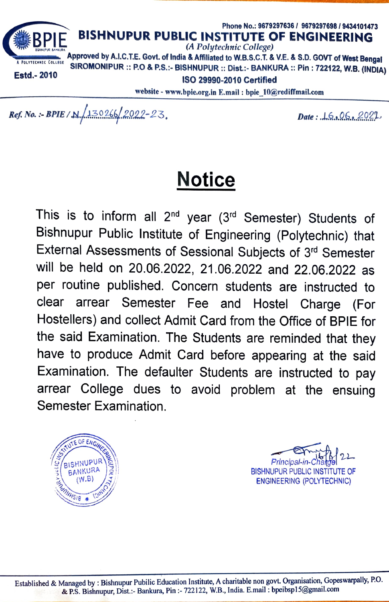

website- www.bpie.org.in E.mail: bpie\_10@rediffmail.com

 $Ref. No. : BPIE/N \sim 130266/2022-23$ , Date: 16.06.2021

## Notice

This is to inform all 2<sup>nd</sup> year (3<sup>rd</sup> Semester) Students of Bishnupur Public Institute of Engineering (Polytechnic) that External Assessments of Sessional Subjects of 3rd Semester will be held on 20.06.2022, 21.06.2022 and 22.06.2022 as per routine published. Concern students are instructed to clear arrear Semester Fee and Hostel Charge (For Hostellers) and collect Admit Card from the Office of BPIE for the said Examination. The Students are reminded that they have to produce Admit Card before appearing at the said Examination. The defaulter Students are instructed to pay arrear College dues to avoid problem at the ensuing Semester Examination.

 $\sqrt{150}$ BISHNUPUR BANKURA (W.B) **ENGINEERI** NAMISIB # 121NH \*

**Principal-in-Chatgel Computer**<br>BISHNUPUR PUBLIC INSTITUTE OF ENGINEERING (POLYTECHNIC)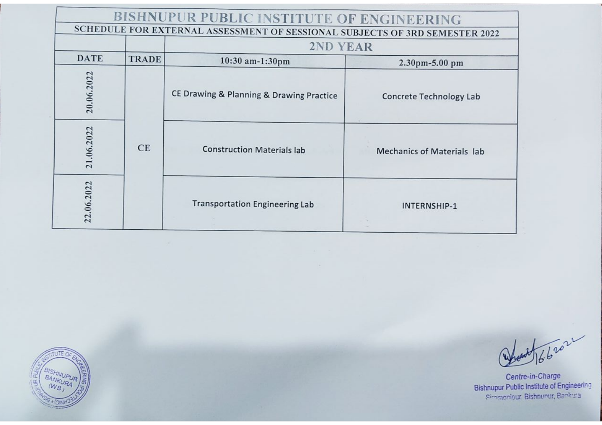|             |              | BISHNUPUR PUBLIC INSTITUTE OF ENGINEERING                                   |                                   |
|-------------|--------------|-----------------------------------------------------------------------------|-----------------------------------|
|             |              | SCHEDULE FOR EXTERNAL ASSESSMENT OF SESSIONAL SUBJECTS OF 3RD SEMESTER 2022 |                                   |
|             |              | 2ND YEAR                                                                    |                                   |
| <b>DATE</b> | <b>TRADE</b> | 10:30 am-1:30pm                                                             | $2.30$ pm-5.00 pm                 |
| 20.06.2022  |              | CE Drawing & Planning & Drawing Practice                                    | <b>Concrete Technology Lab</b>    |
| 21.06.2022  | CE           | <b>Construction Materials lab</b>                                           | <b>Mechanics of Materials lab</b> |
| 22.06.2022  |              | <b>Transportation Engineering Lab</b>                                       | INTERNSHIP-1                      |

BISHNUPUR

and 1662022

Centre-in-Charge<br>Bishnupur Public Institute of Engineering<br>Simenonique Bishnunur, Bankura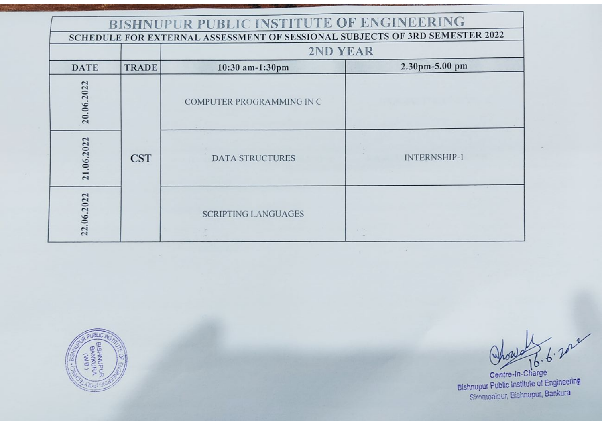| <b>BISHNUPUR PUBLIC INSTITUTE OF ENGINEERING</b><br>SCHEDULE FOR EXTERNAL ASSESSMENT OF SESSIONAL SUBJECTS OF 3RD SEMESTER 2022 |              |                            |                     |
|---------------------------------------------------------------------------------------------------------------------------------|--------------|----------------------------|---------------------|
|                                                                                                                                 |              | 2ND YEAR                   |                     |
| <b>DATE</b>                                                                                                                     | <b>TRADE</b> | 10:30 am-1:30pm            | 2.30pm-5.00 pm      |
| 20.06.2022                                                                                                                      |              | COMPUTER PROGRAMMING IN C  |                     |
| 21.06.2022                                                                                                                      | <b>CST</b>   | <b>DATA STRUCTURES</b>     | <b>INTERNSHIP-1</b> |
| 22.06.2022                                                                                                                      |              | <b>SCRIPTING LANGUAGES</b> |                     |



Centre-in-Charge<br>
Elshnupur Public Institute of Engineering<br>
Simmonipur, Bishnupur, Ban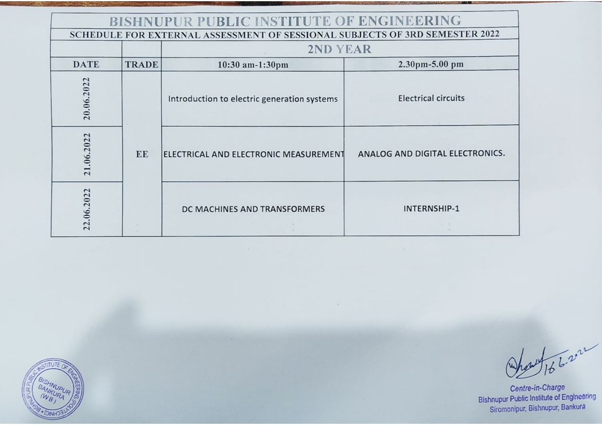| BISHNUPUR PUBLIC INSTITUTE OF ENGINEERING                                   |              |                                             |                                 |
|-----------------------------------------------------------------------------|--------------|---------------------------------------------|---------------------------------|
| SCHEDULE FOR EXTERNAL ASSESSMENT OF SESSIONAL SUBJECTS OF 3RD SEMESTER 2022 |              |                                             |                                 |
|                                                                             |              | 2ND YEAR                                    |                                 |
| <b>DATE</b>                                                                 | <b>TRADE</b> | 10:30 am-1:30pm                             | 2.30pm-5.00 pm                  |
| 20.06.2022                                                                  |              | Introduction to electric generation systems | <b>Electrical circuits</b>      |
| 21.06.2022                                                                  | EE           | ELECTRICAL AND ELECTRONIC MEASUREMENT       | ANALOG AND DIGITAL ELECTRONICS. |
| 22.06.2022                                                                  |              | DC MACHINES AND TRANSFORMERS                | INTERNSHIP-1                    |

EL BISHNUPUR

A166.2022

Centre-in-Charge<br>Bishnupur Public Institute of Engineering<br>Siromonipur, Bishnupur, Bankura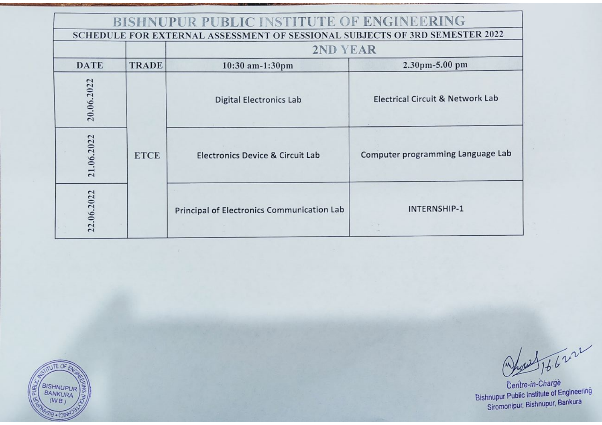| <b>BISHNUPUR PUBLIC INSTITUTE OF ENGINEERING</b>                            |              |                                                   |                                             |
|-----------------------------------------------------------------------------|--------------|---------------------------------------------------|---------------------------------------------|
| SCHEDULE FOR EXTERNAL ASSESSMENT OF SESSIONAL SUBJECTS OF 3RD SEMESTER 2022 |              |                                                   |                                             |
|                                                                             |              | 2ND YEAR                                          |                                             |
| <b>DATE</b>                                                                 | <b>TRADE</b> | 10:30 am-1:30pm                                   | 2.30pm-5.00 pm                              |
| 20.06.2022                                                                  |              | <b>Digital Electronics Lab</b>                    | <b>Electrical Circuit &amp; Network Lab</b> |
| 21.06.2022                                                                  | <b>ETCE</b>  | Electronics Device & Circuit Lab                  | Computer programming Language Lab           |
| 22.06.2022                                                                  |              | <b>Principal of Electronics Communication Lab</b> | INTERNSHIP-1                                |



Agust 166222

Centre-in-Charge<br>Bishnupur Public Institute of Engineering<br>Siromonipur, Bishnupur, Bankura